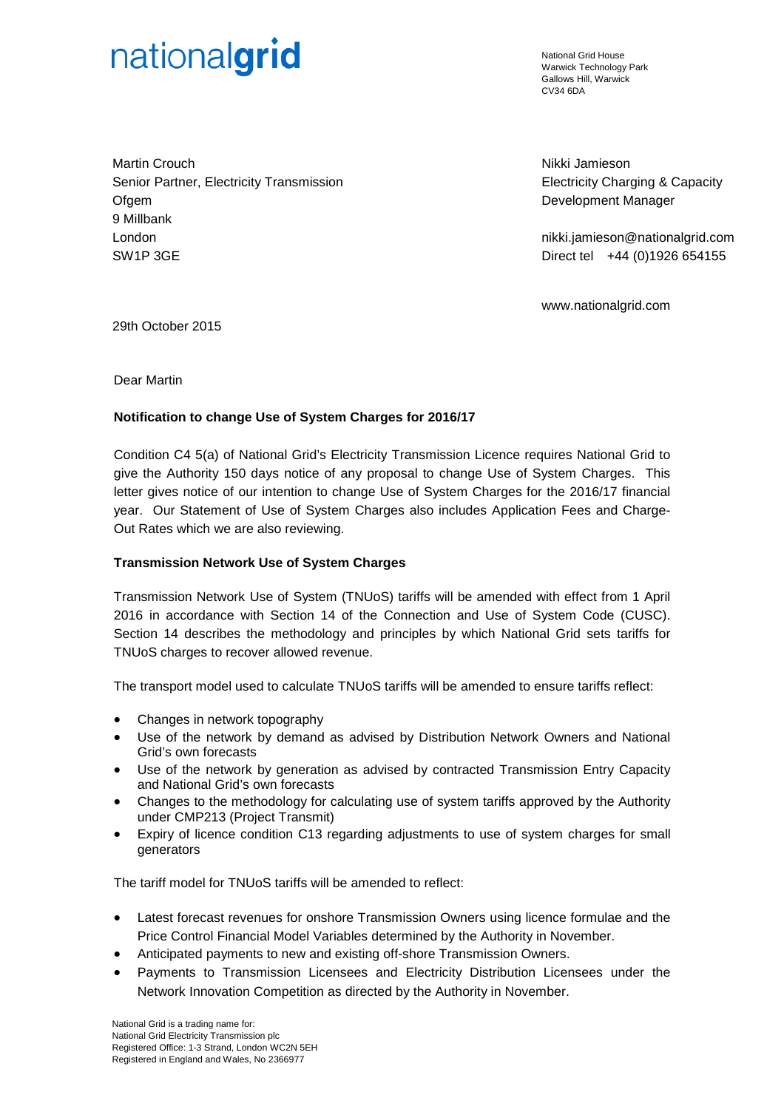# nationalgrid

National Grid House Warwick Technology Park Gallows Hill, Warwick  $C<sub>1</sub>1/34$  6DA

Martin Crouch Senior Partner, Electricity Transmission **Ofgem** 9 Millbank London SW1P 3GE

Nikki Jamieson Electricity Charging & Capacity Development Manager

nikki.jamieson@nationalgrid.com Direct tel +44 (0)1926 654155

www.nationalgrid.com

29th October 2015

Dear Martin

# **Notification to change Use of System Charges for 2016/17**

Condition C4 5(a) of National Grid's Electricity Transmission Licence requires National Grid to give the Authority 150 days notice of any proposal to change Use of System Charges. This letter gives notice of our intention to change Use of System Charges for the 2016/17 financial year. Our Statement of Use of System Charges also includes Application Fees and Charge-Out Rates which we are also reviewing.

### **Transmission Network Use of System Charges**

Transmission Network Use of System (TNUoS) tariffs will be amended with effect from 1 April 2016 in accordance with Section 14 of the Connection and Use of System Code (CUSC). Section 14 describes the methodology and principles by which National Grid sets tariffs for TNUoS charges to recover allowed revenue.

The transport model used to calculate TNUoS tariffs will be amended to ensure tariffs reflect:

- Changes in network topography
- Use of the network by demand as advised by Distribution Network Owners and National Grid's own forecasts
- Use of the network by generation as advised by contracted Transmission Entry Capacity and National Grid's own forecasts
- Changes to the methodology for calculating use of system tariffs approved by the Authority under CMP213 (Project Transmit)
- Expiry of licence condition C13 regarding adjustments to use of system charges for small generators

The tariff model for TNUoS tariffs will be amended to reflect:

- Latest forecast revenues for onshore Transmission Owners using licence formulae and the Price Control Financial Model Variables determined by the Authority in November.
- Anticipated payments to new and existing off-shore Transmission Owners.
- Payments to Transmission Licensees and Electricity Distribution Licensees under the Network Innovation Competition as directed by the Authority in November.